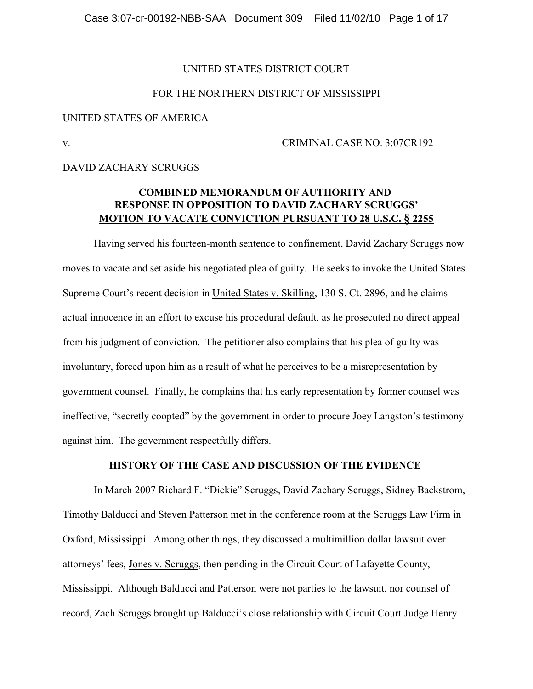# UNITED STATES DISTRICT COURT

# FOR THE NORTHERN DISTRICT OF MISSISSIPPI

#### UNITED STATES OF AMERICA

#### v. CRIMINAL CASE NO. 3:07CR192

## DAVID ZACHARY SCRUGGS

# **COMBINED MEMORANDUM OF AUTHORITY AND RESPONSE IN OPPOSITION TO DAVID ZACHARY SCRUGGS' MOTION TO VACATE CONVICTION PURSUANT TO 28 U.S.C. § 2255**

Having served his fourteen-month sentence to confinement, David Zachary Scruggs now moves to vacate and set aside his negotiated plea of guilty. He seeks to invoke the United States Supreme Court's recent decision in United States v. Skilling, 130 S. Ct. 2896, and he claims actual innocence in an effort to excuse his procedural default, as he prosecuted no direct appeal from his judgment of conviction. The petitioner also complains that his plea of guilty was involuntary, forced upon him as a result of what he perceives to be a misrepresentation by government counsel. Finally, he complains that his early representation by former counsel was ineffective, "secretly coopted" by the government in order to procure Joey Langston's testimony against him. The government respectfully differs.

# **HISTORY OF THE CASE AND DISCUSSION OF THE EVIDENCE**

In March 2007 Richard F. "Dickie" Scruggs, David Zachary Scruggs, Sidney Backstrom, Timothy Balducci and Steven Patterson met in the conference room at the Scruggs Law Firm in Oxford, Mississippi. Among other things, they discussed a multimillion dollar lawsuit over attorneys' fees, Jones v. Scruggs, then pending in the Circuit Court of Lafayette County, Mississippi. Although Balducci and Patterson were not parties to the lawsuit, nor counsel of record, Zach Scruggs brought up Balducci's close relationship with Circuit Court Judge Henry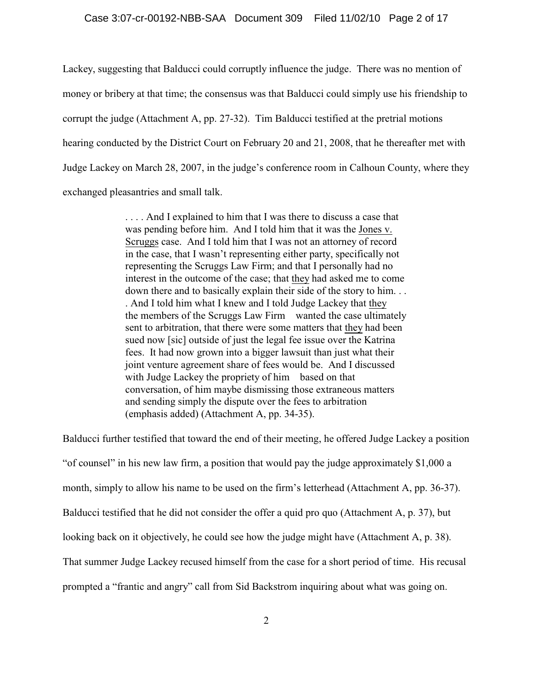### Case 3:07-cr-00192-NBB-SAA Document 309 Filed 11/02/10 Page 2 of 17

Lackey, suggesting that Balducci could corruptly influence the judge. There was no mention of money or bribery at that time; the consensus was that Balducci could simply use his friendship to corrupt the judge (Attachment A, pp. 27-32). Tim Balducci testified at the pretrial motions hearing conducted by the District Court on February 20 and 21, 2008, that he thereafter met with Judge Lackey on March 28, 2007, in the judge's conference room in Calhoun County, where they exchanged pleasantries and small talk.

> . . . . And I explained to him that I was there to discuss a case that was pending before him. And I told him that it was the Jones v. Scruggs case. And I told him that I was not an attorney of record in the case, that I wasn't representing either party, specifically not representing the Scruggs Law Firm; and that I personally had no interest in the outcome of the case; that they had asked me to come down there and to basically explain their side of the story to him. . . . And I told him what I knew and I told Judge Lackey that they the members of the Scruggs Law Firm wanted the case ultimately sent to arbitration, that there were some matters that they had been sued now [sic] outside of just the legal fee issue over the Katrina fees. It had now grown into a bigger lawsuit than just what their joint venture agreement share of fees would be. And I discussed with Judge Lackey the propriety of him based on that conversation, of him maybe dismissing those extraneous matters and sending simply the dispute over the fees to arbitration (emphasis added) (Attachment A, pp. 34-35).

Balducci further testified that toward the end of their meeting, he offered Judge Lackey a position "of counsel" in his new law firm, a position that would pay the judge approximately \$1,000 a month, simply to allow his name to be used on the firm's letterhead (Attachment A, pp. 36-37). Balducci testified that he did not consider the offer a quid pro quo (Attachment A, p. 37), but looking back on it objectively, he could see how the judge might have (Attachment A, p. 38). That summer Judge Lackey recused himself from the case for a short period of time. His recusal prompted a "frantic and angry" call from Sid Backstrom inquiring about what was going on.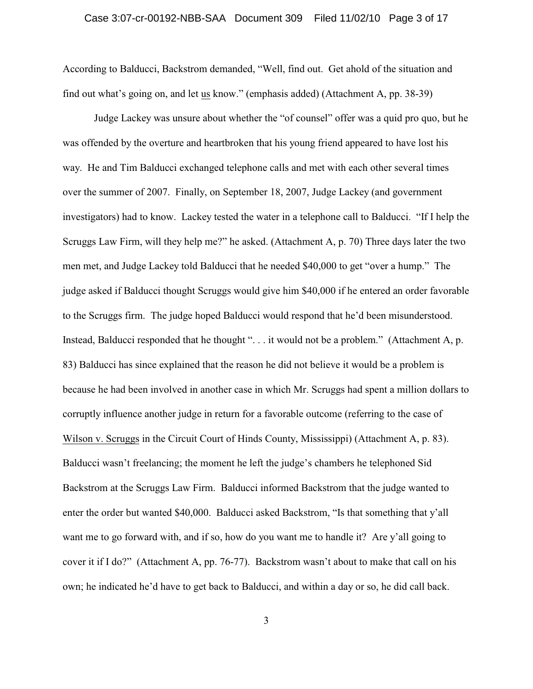#### Case 3:07-cr-00192-NBB-SAA Document 309 Filed 11/02/10 Page 3 of 17

According to Balducci, Backstrom demanded, "Well, find out. Get ahold of the situation and find out what's going on, and let us know." (emphasis added) (Attachment A, pp. 38-39)

Judge Lackey was unsure about whether the "of counsel" offer was a quid pro quo, but he was offended by the overture and heartbroken that his young friend appeared to have lost his way. He and Tim Balducci exchanged telephone calls and met with each other several times over the summer of 2007. Finally, on September 18, 2007, Judge Lackey (and government investigators) had to know. Lackey tested the water in a telephone call to Balducci. "If I help the Scruggs Law Firm, will they help me?" he asked. (Attachment A, p. 70) Three days later the two men met, and Judge Lackey told Balducci that he needed \$40,000 to get "over a hump." The judge asked if Balducci thought Scruggs would give him \$40,000 if he entered an order favorable to the Scruggs firm. The judge hoped Balducci would respond that he'd been misunderstood. Instead, Balducci responded that he thought ". . . it would not be a problem." (Attachment A, p. 83) Balducci has since explained that the reason he did not believe it would be a problem is because he had been involved in another case in which Mr. Scruggs had spent a million dollars to corruptly influence another judge in return for a favorable outcome (referring to the case of Wilson v. Scruggs in the Circuit Court of Hinds County, Mississippi) (Attachment A, p. 83). Balducci wasn't freelancing; the moment he left the judge's chambers he telephoned Sid Backstrom at the Scruggs Law Firm. Balducci informed Backstrom that the judge wanted to enter the order but wanted \$40,000. Balducci asked Backstrom, "Is that something that y'all want me to go forward with, and if so, how do you want me to handle it? Are y'all going to cover it if I do?" (Attachment A, pp. 76-77). Backstrom wasn't about to make that call on his own; he indicated he'd have to get back to Balducci, and within a day or so, he did call back.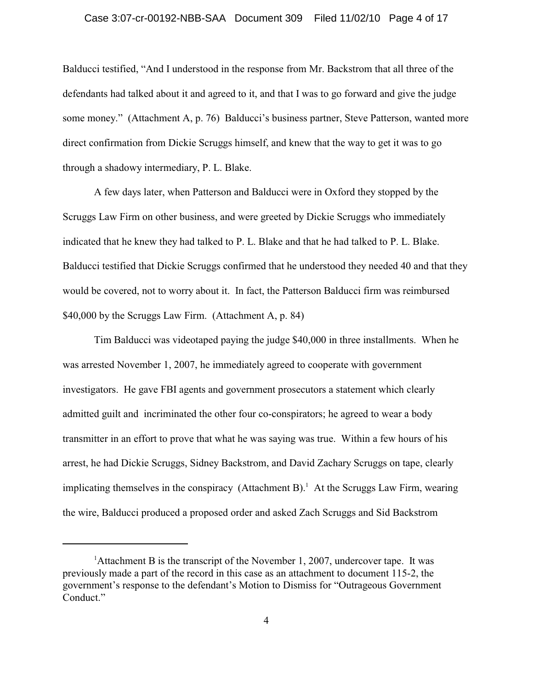#### Case 3:07-cr-00192-NBB-SAA Document 309 Filed 11/02/10 Page 4 of 17

Balducci testified, "And I understood in the response from Mr. Backstrom that all three of the defendants had talked about it and agreed to it, and that I was to go forward and give the judge some money." (Attachment A, p. 76) Balducci's business partner, Steve Patterson, wanted more direct confirmation from Dickie Scruggs himself, and knew that the way to get it was to go through a shadowy intermediary, P. L. Blake.

A few days later, when Patterson and Balducci were in Oxford they stopped by the Scruggs Law Firm on other business, and were greeted by Dickie Scruggs who immediately indicated that he knew they had talked to P. L. Blake and that he had talked to P. L. Blake. Balducci testified that Dickie Scruggs confirmed that he understood they needed 40 and that they would be covered, not to worry about it. In fact, the Patterson Balducci firm was reimbursed \$40,000 by the Scruggs Law Firm. (Attachment A, p. 84)

Tim Balducci was videotaped paying the judge \$40,000 in three installments. When he was arrested November 1, 2007, he immediately agreed to cooperate with government investigators. He gave FBI agents and government prosecutors a statement which clearly admitted guilt and incriminated the other four co-conspirators; he agreed to wear a body transmitter in an effort to prove that what he was saying was true. Within a few hours of his arrest, he had Dickie Scruggs, Sidney Backstrom, and David Zachary Scruggs on tape, clearly implicating themselves in the conspiracy (Attachment B).<sup>1</sup> At the Scruggs Law Firm, wearing the wire, Balducci produced a proposed order and asked Zach Scruggs and Sid Backstrom

<sup>&</sup>lt;sup>1</sup> Attachment B is the transcript of the November 1, 2007, undercover tape. It was previously made a part of the record in this case as an attachment to document 115-2, the government's response to the defendant's Motion to Dismiss for "Outrageous Government Conduct."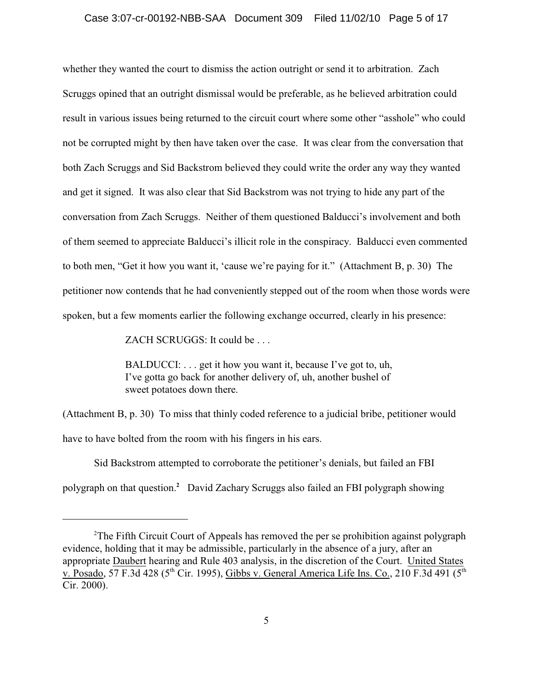#### Case 3:07-cr-00192-NBB-SAA Document 309 Filed 11/02/10 Page 5 of 17

whether they wanted the court to dismiss the action outright or send it to arbitration. Zach Scruggs opined that an outright dismissal would be preferable, as he believed arbitration could result in various issues being returned to the circuit court where some other "asshole" who could not be corrupted might by then have taken over the case. It was clear from the conversation that both Zach Scruggs and Sid Backstrom believed they could write the order any way they wanted and get it signed. It was also clear that Sid Backstrom was not trying to hide any part of the conversation from Zach Scruggs. Neither of them questioned Balducci's involvement and both of them seemed to appreciate Balducci's illicit role in the conspiracy. Balducci even commented to both men, "Get it how you want it, 'cause we're paying for it." (Attachment B, p. 30) The petitioner now contends that he had conveniently stepped out of the room when those words were spoken, but a few moments earlier the following exchange occurred, clearly in his presence:

ZACH SCRUGGS: It could be . . .

BALDUCCI: . . . get it how you want it, because I've got to, uh, I've gotta go back for another delivery of, uh, another bushel of sweet potatoes down there.

(Attachment B, p. 30) To miss that thinly coded reference to a judicial bribe, petitioner would have to have bolted from the room with his fingers in his ears.

Sid Backstrom attempted to corroborate the petitioner's denials, but failed an FBI polygraph on that question.<sup>2</sup> David Zachary Scruggs also failed an FBI polygraph showing

<sup>&</sup>lt;sup>2</sup>The Fifth Circuit Court of Appeals has removed the per se prohibition against polygraph evidence, holding that it may be admissible, particularly in the absence of a jury, after an appropriate Daubert hearing and Rule 403 analysis, in the discretion of the Court. United States v. Posado, 57 F.3d 428 (5<sup>th</sup> Cir. 1995), Gibbs v. General America Life Ins. Co., 210 F.3d 491 (5<sup>th</sup>) Cir. 2000).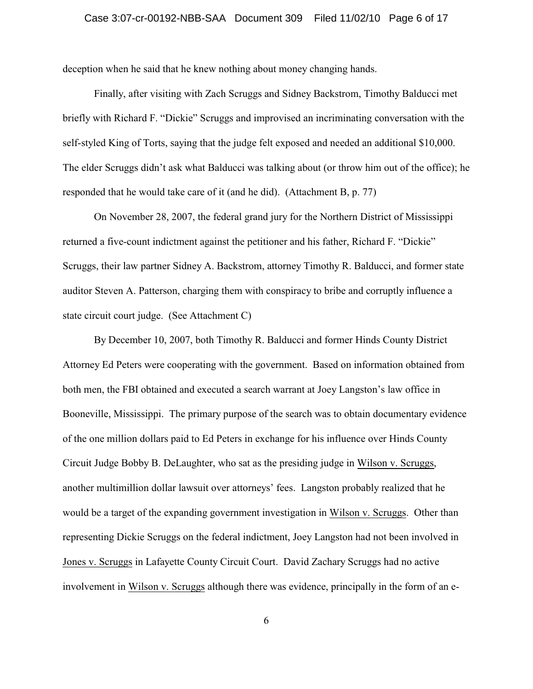deception when he said that he knew nothing about money changing hands.

Finally, after visiting with Zach Scruggs and Sidney Backstrom, Timothy Balducci met briefly with Richard F. "Dickie" Scruggs and improvised an incriminating conversation with the self-styled King of Torts, saying that the judge felt exposed and needed an additional \$10,000. The elder Scruggs didn't ask what Balducci was talking about (or throw him out of the office); he responded that he would take care of it (and he did). (Attachment B, p. 77)

On November 28, 2007, the federal grand jury for the Northern District of Mississippi returned a five-count indictment against the petitioner and his father, Richard F. "Dickie" Scruggs, their law partner Sidney A. Backstrom, attorney Timothy R. Balducci, and former state auditor Steven A. Patterson, charging them with conspiracy to bribe and corruptly influence a state circuit court judge. (See Attachment C)

By December 10, 2007, both Timothy R. Balducci and former Hinds County District Attorney Ed Peters were cooperating with the government. Based on information obtained from both men, the FBI obtained and executed a search warrant at Joey Langston's law office in Booneville, Mississippi. The primary purpose of the search was to obtain documentary evidence of the one million dollars paid to Ed Peters in exchange for his influence over Hinds County Circuit Judge Bobby B. DeLaughter, who sat as the presiding judge in Wilson v. Scruggs, another multimillion dollar lawsuit over attorneys' fees. Langston probably realized that he would be a target of the expanding government investigation in Wilson v. Scruggs. Other than representing Dickie Scruggs on the federal indictment, Joey Langston had not been involved in Jones v. Scruggs in Lafayette County Circuit Court. David Zachary Scruggs had no active involvement in Wilson v. Scruggs although there was evidence, principally in the form of an e-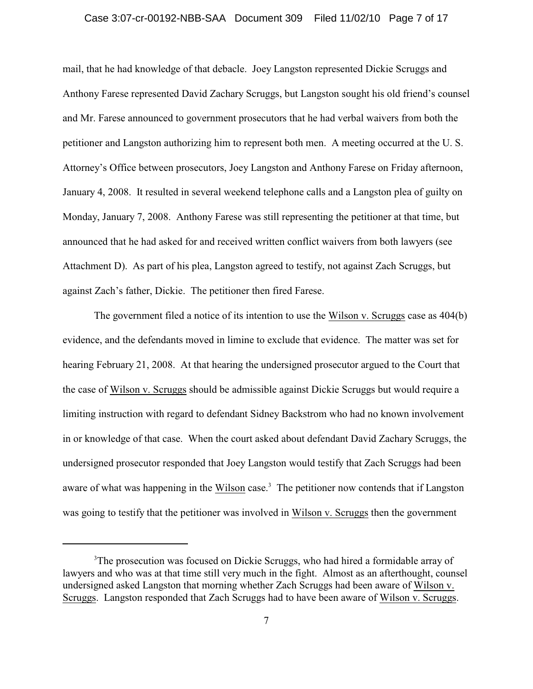#### Case 3:07-cr-00192-NBB-SAA Document 309 Filed 11/02/10 Page 7 of 17

mail, that he had knowledge of that debacle. Joey Langston represented Dickie Scruggs and Anthony Farese represented David Zachary Scruggs, but Langston sought his old friend's counsel and Mr. Farese announced to government prosecutors that he had verbal waivers from both the petitioner and Langston authorizing him to represent both men. A meeting occurred at the U. S. Attorney's Office between prosecutors, Joey Langston and Anthony Farese on Friday afternoon, January 4, 2008. It resulted in several weekend telephone calls and a Langston plea of guilty on Monday, January 7, 2008. Anthony Farese was still representing the petitioner at that time, but announced that he had asked for and received written conflict waivers from both lawyers (see Attachment D). As part of his plea, Langston agreed to testify, not against Zach Scruggs, but against Zach's father, Dickie. The petitioner then fired Farese.

The government filed a notice of its intention to use the Wilson v. Scruggs case as 404(b) evidence, and the defendants moved in limine to exclude that evidence. The matter was set for hearing February 21, 2008. At that hearing the undersigned prosecutor argued to the Court that the case of Wilson v. Scruggs should be admissible against Dickie Scruggs but would require a limiting instruction with regard to defendant Sidney Backstrom who had no known involvement in or knowledge of that case. When the court asked about defendant David Zachary Scruggs, the undersigned prosecutor responded that Joey Langston would testify that Zach Scruggs had been aware of what was happening in the Wilson case.<sup>3</sup> The petitioner now contends that if Langston was going to testify that the petitioner was involved in Wilson v. Scruggs then the government

<sup>&</sup>lt;sup>3</sup>The prosecution was focused on Dickie Scruggs, who had hired a formidable array of lawyers and who was at that time still very much in the fight. Almost as an afterthought, counsel undersigned asked Langston that morning whether Zach Scruggs had been aware of Wilson v. Scruggs. Langston responded that Zach Scruggs had to have been aware of Wilson v. Scruggs.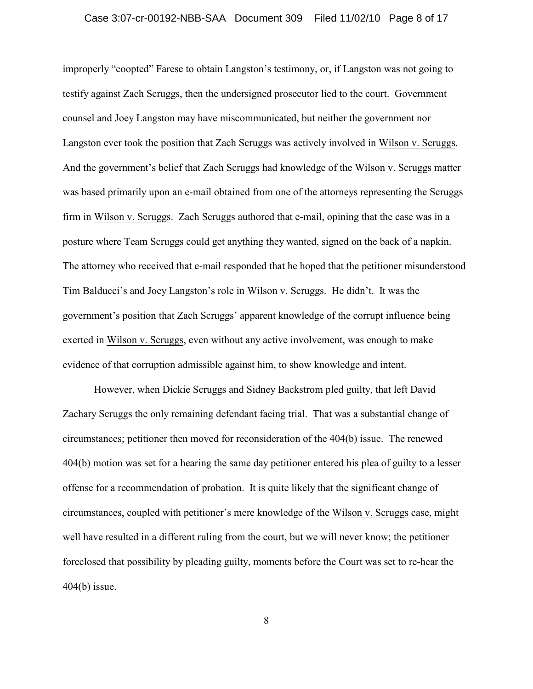#### Case 3:07-cr-00192-NBB-SAA Document 309 Filed 11/02/10 Page 8 of 17

improperly "coopted" Farese to obtain Langston's testimony, or, if Langston was not going to testify against Zach Scruggs, then the undersigned prosecutor lied to the court. Government counsel and Joey Langston may have miscommunicated, but neither the government nor Langston ever took the position that Zach Scruggs was actively involved in Wilson v. Scruggs. And the government's belief that Zach Scruggs had knowledge of the Wilson v. Scruggs matter was based primarily upon an e-mail obtained from one of the attorneys representing the Scruggs firm in Wilson v. Scruggs. Zach Scruggs authored that e-mail, opining that the case was in a posture where Team Scruggs could get anything they wanted, signed on the back of a napkin. The attorney who received that e-mail responded that he hoped that the petitioner misunderstood Tim Balducci's and Joey Langston's role in Wilson v. Scruggs. He didn't. It was the government's position that Zach Scruggs' apparent knowledge of the corrupt influence being exerted in Wilson v. Scruggs, even without any active involvement, was enough to make evidence of that corruption admissible against him, to show knowledge and intent.

However, when Dickie Scruggs and Sidney Backstrom pled guilty, that left David Zachary Scruggs the only remaining defendant facing trial. That was a substantial change of circumstances; petitioner then moved for reconsideration of the 404(b) issue. The renewed 404(b) motion was set for a hearing the same day petitioner entered his plea of guilty to a lesser offense for a recommendation of probation. It is quite likely that the significant change of circumstances, coupled with petitioner's mere knowledge of the Wilson v. Scruggs case, might well have resulted in a different ruling from the court, but we will never know; the petitioner foreclosed that possibility by pleading guilty, moments before the Court was set to re-hear the 404(b) issue.

8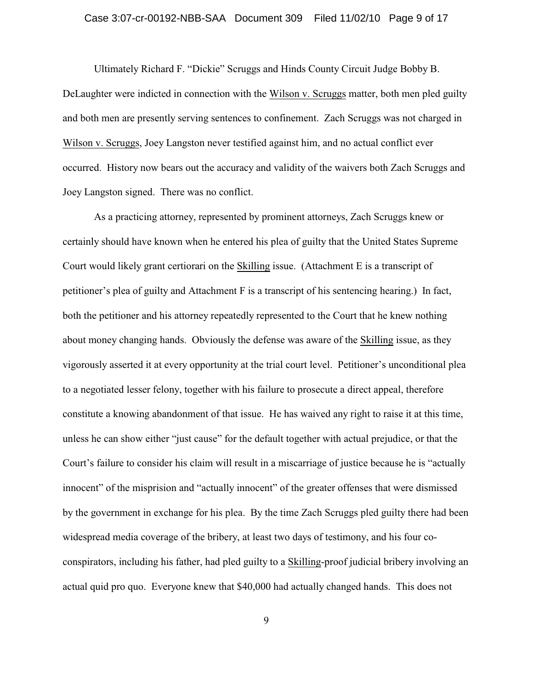#### Case 3:07-cr-00192-NBB-SAA Document 309 Filed 11/02/10 Page 9 of 17

Ultimately Richard F. "Dickie" Scruggs and Hinds County Circuit Judge Bobby B. DeLaughter were indicted in connection with the Wilson v. Scruggs matter, both men pled guilty and both men are presently serving sentences to confinement. Zach Scruggs was not charged in Wilson v. Scruggs, Joey Langston never testified against him, and no actual conflict ever occurred. History now bears out the accuracy and validity of the waivers both Zach Scruggs and Joey Langston signed. There was no conflict.

As a practicing attorney, represented by prominent attorneys, Zach Scruggs knew or certainly should have known when he entered his plea of guilty that the United States Supreme Court would likely grant certiorari on the Skilling issue. (Attachment E is a transcript of petitioner's plea of guilty and Attachment F is a transcript of his sentencing hearing.) In fact, both the petitioner and his attorney repeatedly represented to the Court that he knew nothing about money changing hands. Obviously the defense was aware of the Skilling issue, as they vigorously asserted it at every opportunity at the trial court level. Petitioner's unconditional plea to a negotiated lesser felony, together with his failure to prosecute a direct appeal, therefore constitute a knowing abandonment of that issue. He has waived any right to raise it at this time, unless he can show either "just cause" for the default together with actual prejudice, or that the Court's failure to consider his claim will result in a miscarriage of justice because he is "actually innocent" of the misprision and "actually innocent" of the greater offenses that were dismissed by the government in exchange for his plea. By the time Zach Scruggs pled guilty there had been widespread media coverage of the bribery, at least two days of testimony, and his four coconspirators, including his father, had pled guilty to a Skilling-proof judicial bribery involving an actual quid pro quo. Everyone knew that \$40,000 had actually changed hands. This does not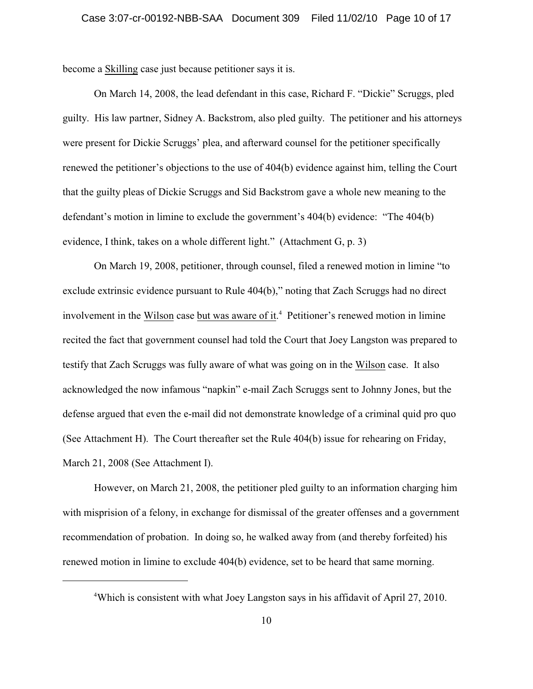become a Skilling case just because petitioner says it is.

On March 14, 2008, the lead defendant in this case, Richard F. "Dickie" Scruggs, pled guilty. His law partner, Sidney A. Backstrom, also pled guilty. The petitioner and his attorneys were present for Dickie Scruggs' plea, and afterward counsel for the petitioner specifically renewed the petitioner's objections to the use of 404(b) evidence against him, telling the Court that the guilty pleas of Dickie Scruggs and Sid Backstrom gave a whole new meaning to the defendant's motion in limine to exclude the government's 404(b) evidence: "The 404(b) evidence, I think, takes on a whole different light." (Attachment G, p. 3)

On March 19, 2008, petitioner, through counsel, filed a renewed motion in limine "to exclude extrinsic evidence pursuant to Rule 404(b)," noting that Zach Scruggs had no direct involvement in the Wilson case but was aware of it.<sup>4</sup> Petitioner's renewed motion in limine recited the fact that government counsel had told the Court that Joey Langston was prepared to testify that Zach Scruggs was fully aware of what was going on in the Wilson case. It also acknowledged the now infamous "napkin" e-mail Zach Scruggs sent to Johnny Jones, but the defense argued that even the e-mail did not demonstrate knowledge of a criminal quid pro quo (See Attachment H). The Court thereafter set the Rule 404(b) issue for rehearing on Friday, March 21, 2008 (See Attachment I).

However, on March 21, 2008, the petitioner pled guilty to an information charging him with misprision of a felony, in exchange for dismissal of the greater offenses and a government recommendation of probation. In doing so, he walked away from (and thereby forfeited) his renewed motion in limine to exclude 404(b) evidence, set to be heard that same morning.

Which is consistent with what Joey Langston says in his affidavit of April 27, 2010. <sup>4</sup>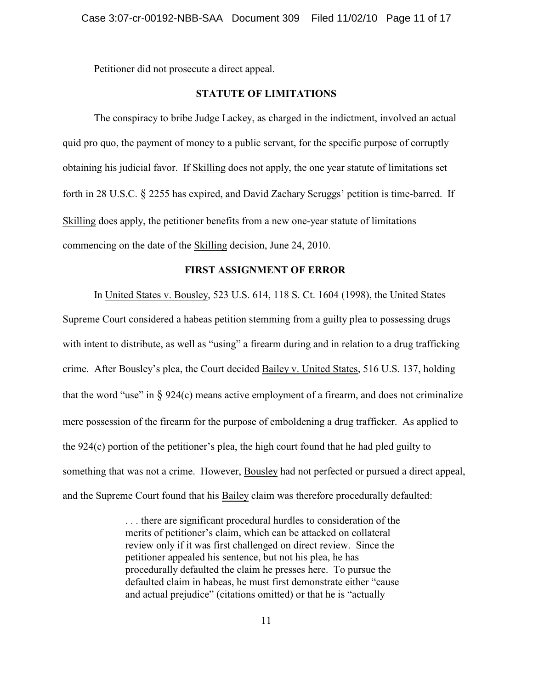Petitioner did not prosecute a direct appeal.

# **STATUTE OF LIMITATIONS**

The conspiracy to bribe Judge Lackey, as charged in the indictment, involved an actual quid pro quo, the payment of money to a public servant, for the specific purpose of corruptly obtaining his judicial favor. If Skilling does not apply, the one year statute of limitations set forth in 28 U.S.C. § 2255 has expired, and David Zachary Scruggs' petition is time-barred. If Skilling does apply, the petitioner benefits from a new one-year statute of limitations commencing on the date of the Skilling decision, June 24, 2010.

# **FIRST ASSIGNMENT OF ERROR**

In United States v. Bousley, 523 U.S. 614, 118 S. Ct. 1604 (1998), the United States Supreme Court considered a habeas petition stemming from a guilty plea to possessing drugs with intent to distribute, as well as "using" a firearm during and in relation to a drug trafficking crime. After Bousley's plea, the Court decided Bailey v. United States, 516 U.S. 137, holding that the word "use" in  $\S 924(c)$  means active employment of a firearm, and does not criminalize mere possession of the firearm for the purpose of emboldening a drug trafficker. As applied to the 924(c) portion of the petitioner's plea, the high court found that he had pled guilty to something that was not a crime. However, Bousley had not perfected or pursued a direct appeal, and the Supreme Court found that his Bailey claim was therefore procedurally defaulted:

> . . . there are significant procedural hurdles to consideration of the merits of petitioner's claim, which can be attacked on collateral review only if it was first challenged on direct review. Since the petitioner appealed his sentence, but not his plea, he has procedurally defaulted the claim he presses here. To pursue the defaulted claim in habeas, he must first demonstrate either "cause and actual prejudice" (citations omitted) or that he is "actually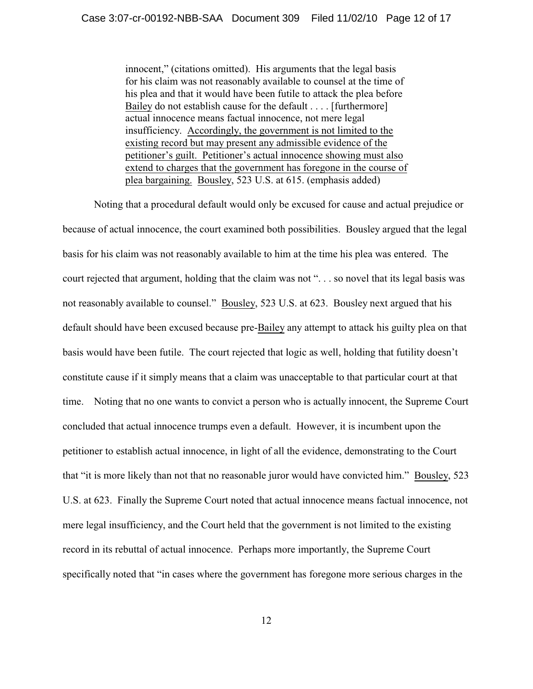innocent," (citations omitted). His arguments that the legal basis for his claim was not reasonably available to counsel at the time of his plea and that it would have been futile to attack the plea before Bailey do not establish cause for the default . . . . [furthermore] actual innocence means factual innocence, not mere legal insufficiency. Accordingly, the government is not limited to the existing record but may present any admissible evidence of the petitioner's guilt. Petitioner's actual innocence showing must also extend to charges that the government has foregone in the course of plea bargaining. Bousley, 523 U.S. at 615. (emphasis added)

Noting that a procedural default would only be excused for cause and actual prejudice or because of actual innocence, the court examined both possibilities. Bousley argued that the legal basis for his claim was not reasonably available to him at the time his plea was entered. The court rejected that argument, holding that the claim was not ". . . so novel that its legal basis was not reasonably available to counsel." Bousley, 523 U.S. at 623. Bousley next argued that his default should have been excused because pre-Bailey any attempt to attack his guilty plea on that basis would have been futile. The court rejected that logic as well, holding that futility doesn't constitute cause if it simply means that a claim was unacceptable to that particular court at that time. Noting that no one wants to convict a person who is actually innocent, the Supreme Court concluded that actual innocence trumps even a default. However, it is incumbent upon the petitioner to establish actual innocence, in light of all the evidence, demonstrating to the Court that "it is more likely than not that no reasonable juror would have convicted him." Bousley, 523 U.S. at 623. Finally the Supreme Court noted that actual innocence means factual innocence, not mere legal insufficiency, and the Court held that the government is not limited to the existing record in its rebuttal of actual innocence. Perhaps more importantly, the Supreme Court specifically noted that "in cases where the government has foregone more serious charges in the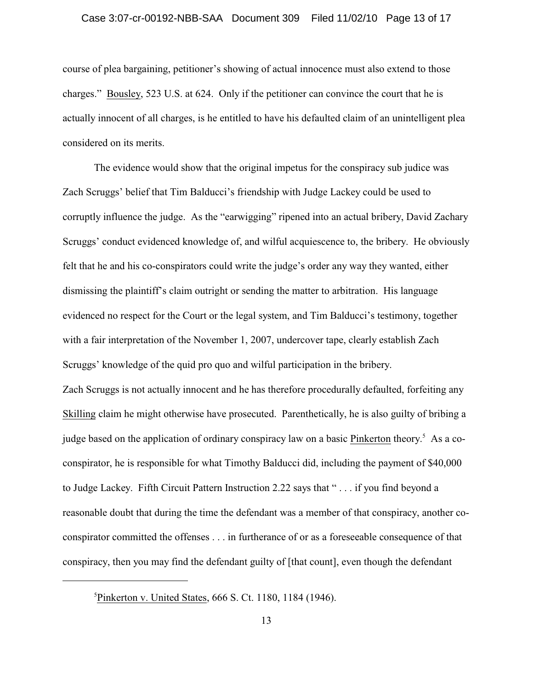#### Case 3:07-cr-00192-NBB-SAA Document 309 Filed 11/02/10 Page 13 of 17

course of plea bargaining, petitioner's showing of actual innocence must also extend to those charges." Bousley, 523 U.S. at 624. Only if the petitioner can convince the court that he is actually innocent of all charges, is he entitled to have his defaulted claim of an unintelligent plea considered on its merits.

The evidence would show that the original impetus for the conspiracy sub judice was Zach Scruggs' belief that Tim Balducci's friendship with Judge Lackey could be used to corruptly influence the judge. As the "earwigging" ripened into an actual bribery, David Zachary Scruggs' conduct evidenced knowledge of, and wilful acquiescence to, the bribery. He obviously felt that he and his co-conspirators could write the judge's order any way they wanted, either dismissing the plaintiff's claim outright or sending the matter to arbitration. His language evidenced no respect for the Court or the legal system, and Tim Balducci's testimony, together with a fair interpretation of the November 1, 2007, undercover tape, clearly establish Zach Scruggs' knowledge of the quid pro quo and wilful participation in the bribery.

Zach Scruggs is not actually innocent and he has therefore procedurally defaulted, forfeiting any Skilling claim he might otherwise have prosecuted. Parenthetically, he is also guilty of bribing a judge based on the application of ordinary conspiracy law on a basic Pinkerton theory.<sup>5</sup> As a coconspirator, he is responsible for what Timothy Balducci did, including the payment of \$40,000 to Judge Lackey. Fifth Circuit Pattern Instruction 2.22 says that " . . . if you find beyond a reasonable doubt that during the time the defendant was a member of that conspiracy, another coconspirator committed the offenses . . . in furtherance of or as a foreseeable consequence of that conspiracy, then you may find the defendant guilty of [that count], even though the defendant

 ${}^{5}$ Pinkerton v. United States, 666 S. Ct. 1180, 1184 (1946).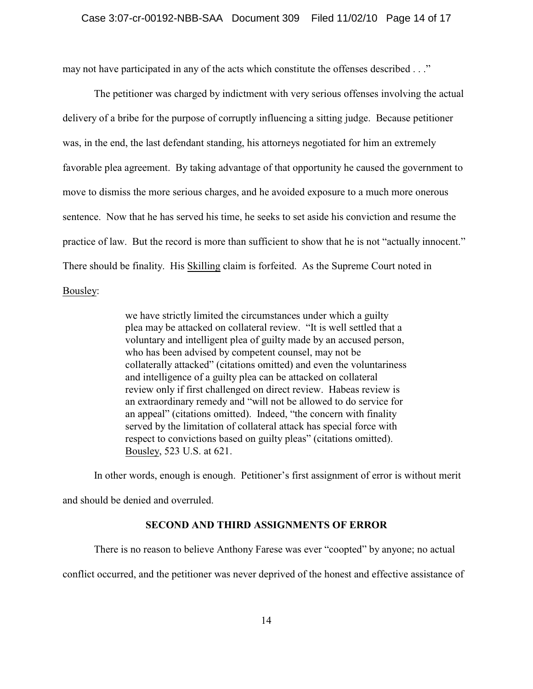may not have participated in any of the acts which constitute the offenses described . . ."

The petitioner was charged by indictment with very serious offenses involving the actual delivery of a bribe for the purpose of corruptly influencing a sitting judge. Because petitioner was, in the end, the last defendant standing, his attorneys negotiated for him an extremely favorable plea agreement. By taking advantage of that opportunity he caused the government to move to dismiss the more serious charges, and he avoided exposure to a much more onerous sentence. Now that he has served his time, he seeks to set aside his conviction and resume the practice of law. But the record is more than sufficient to show that he is not "actually innocent." There should be finality. His Skilling claim is forfeited. As the Supreme Court noted in

Bousley:

we have strictly limited the circumstances under which a guilty plea may be attacked on collateral review. "It is well settled that a voluntary and intelligent plea of guilty made by an accused person, who has been advised by competent counsel, may not be collaterally attacked" (citations omitted) and even the voluntariness and intelligence of a guilty plea can be attacked on collateral review only if first challenged on direct review. Habeas review is an extraordinary remedy and "will not be allowed to do service for an appeal" (citations omitted). Indeed, "the concern with finality served by the limitation of collateral attack has special force with respect to convictions based on guilty pleas" (citations omitted). Bousley, 523 U.S. at 621.

In other words, enough is enough. Petitioner's first assignment of error is without merit and should be denied and overruled.

## **SECOND AND THIRD ASSIGNMENTS OF ERROR**

There is no reason to believe Anthony Farese was ever "coopted" by anyone; no actual

conflict occurred, and the petitioner was never deprived of the honest and effective assistance of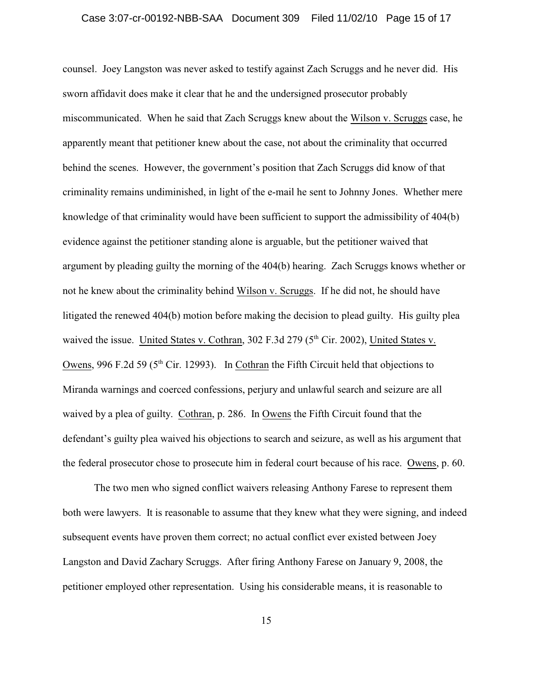#### Case 3:07-cr-00192-NBB-SAA Document 309 Filed 11/02/10 Page 15 of 17

counsel. Joey Langston was never asked to testify against Zach Scruggs and he never did. His sworn affidavit does make it clear that he and the undersigned prosecutor probably miscommunicated. When he said that Zach Scruggs knew about the Wilson v. Scruggs case, he apparently meant that petitioner knew about the case, not about the criminality that occurred behind the scenes. However, the government's position that Zach Scruggs did know of that criminality remains undiminished, in light of the e-mail he sent to Johnny Jones. Whether mere knowledge of that criminality would have been sufficient to support the admissibility of 404(b) evidence against the petitioner standing alone is arguable, but the petitioner waived that argument by pleading guilty the morning of the 404(b) hearing. Zach Scruggs knows whether or not he knew about the criminality behind Wilson v. Scruggs. If he did not, he should have litigated the renewed 404(b) motion before making the decision to plead guilty. His guilty plea waived the issue. United States v. Cothran,  $302$  F.3d  $279$  ( $5<sup>th</sup>$  Cir. 2002), United States v. Owens, 996 F.2d 59 ( $5<sup>th</sup>$  Cir. 12993). In Cothran the Fifth Circuit held that objections to Miranda warnings and coerced confessions, perjury and unlawful search and seizure are all waived by a plea of guilty. Cothran, p. 286. In Owens the Fifth Circuit found that the defendant's guilty plea waived his objections to search and seizure, as well as his argument that the federal prosecutor chose to prosecute him in federal court because of his race. Owens, p. 60.

The two men who signed conflict waivers releasing Anthony Farese to represent them both were lawyers. It is reasonable to assume that they knew what they were signing, and indeed subsequent events have proven them correct; no actual conflict ever existed between Joey Langston and David Zachary Scruggs. After firing Anthony Farese on January 9, 2008, the petitioner employed other representation. Using his considerable means, it is reasonable to